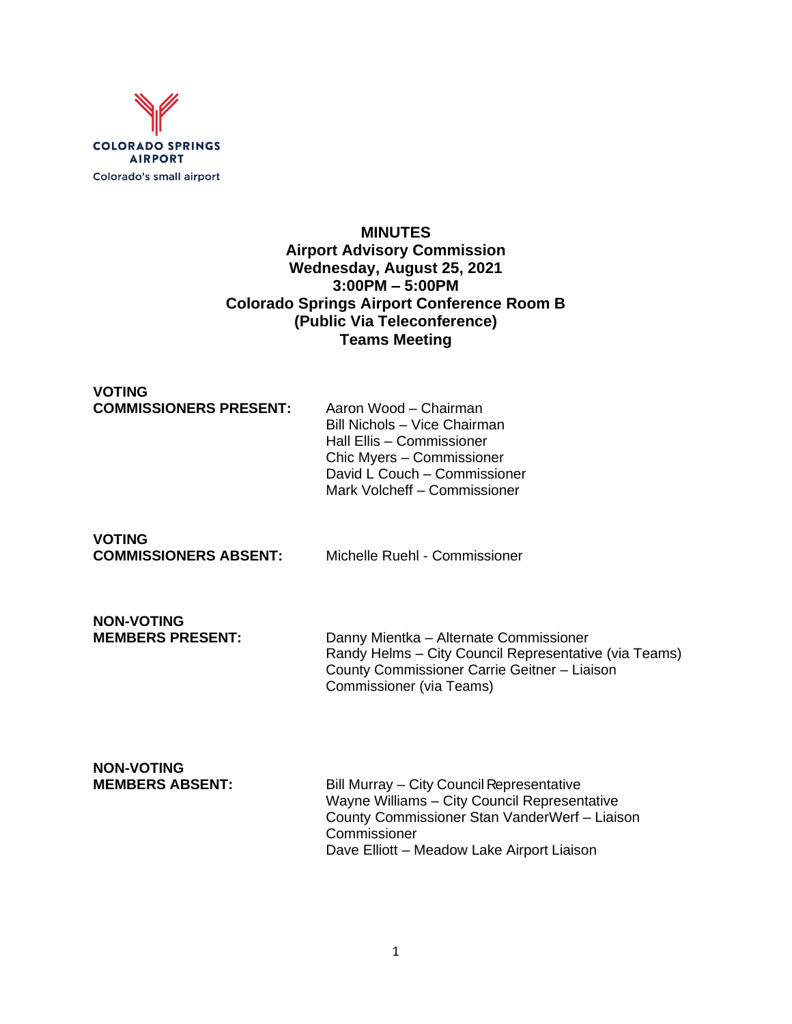

# **MINUTES Airport Advisory Commission Wednesday, August 25, 2021 3:00PM – 5:00PM Colorado Springs Airport Conference Room B (Public Via Teleconference) Teams Meeting**

#### **VOTING COMMISSIONERS PRESENT:** Aaron Wood – Chairman

Bill Nichols – Vice Chairman Hall Ellis – Commissioner Chic Myers – Commissioner David L Couch – Commissioner Mark Volcheff – Commissioner

**VOTING<br>COMMISSIONERS ABSENT:** 

Michelle Ruehl - Commissioner

# **NON-VOTING**

Danny Mientka – Alternate Commissioner Randy Helms – City Council Representative (via Teams) County Commissioner Carrie Geitner – Liaison Commissioner (via Teams)

# **NON-VOTING**

**Bill Murray – City Council Representative** Wayne Williams – City Council Representative County Commissioner Stan VanderWerf – Liaison **Commissioner** Dave Elliott – Meadow Lake Airport Liaison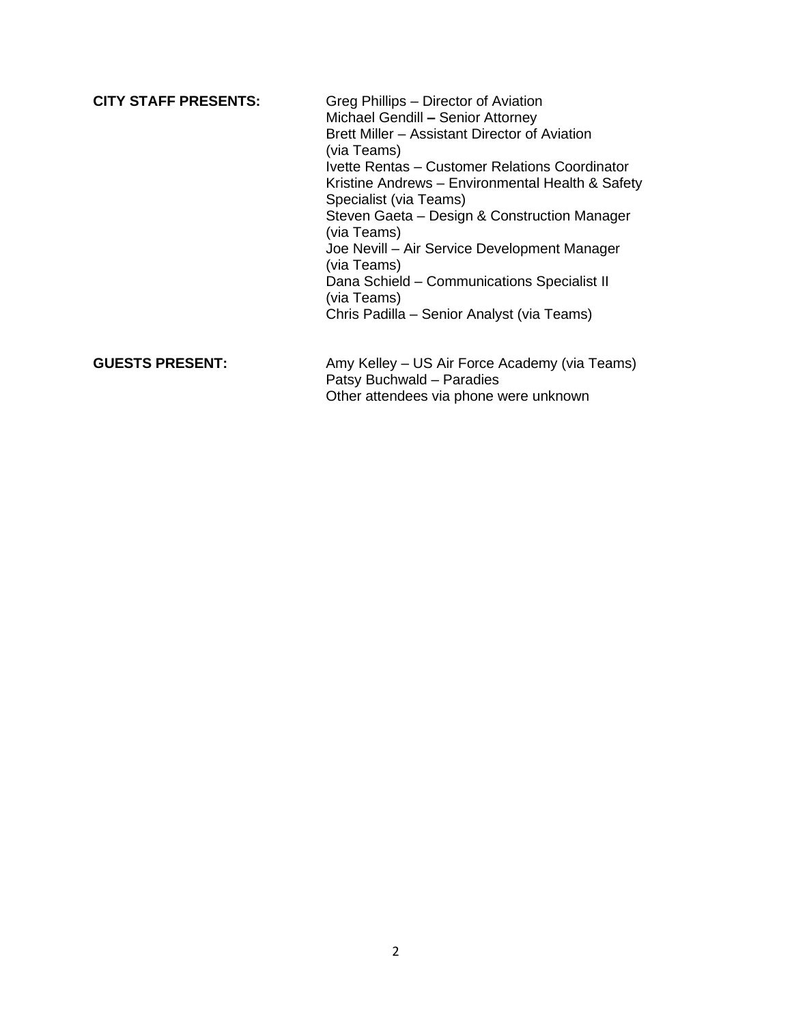**CITY STAFF PRESENTS:** Greg Phillips – Director of Aviation Michael Gendill **–** Senior Attorney Brett Miller – Assistant Director of Aviation (via Teams) Ivette Rentas – Customer Relations Coordinator Kristine Andrews – Environmental Health & Safety Specialist (via Teams) Steven Gaeta – Design & Construction Manager (via Teams) Joe Nevill – Air Service Development Manager (via Teams) Dana Schield – Communications Specialist II (via Teams) Chris Padilla – Senior Analyst (via Teams)

GUESTS PRESENT: Amy Kelley – US Air Force Academy (via Teams) Patsy Buchwald – Paradies Other attendees via phone were unknown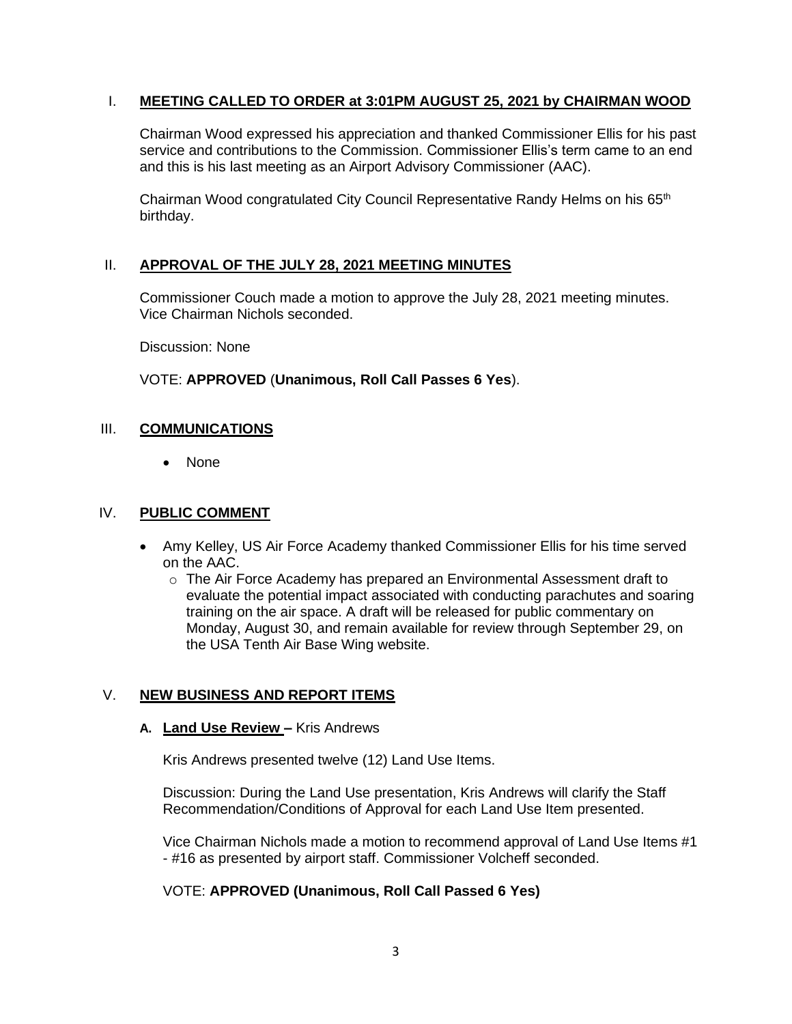#### I. **MEETING CALLED TO ORDER at 3:01PM AUGUST 25, 2021 by CHAIRMAN WOOD**

Chairman Wood expressed his appreciation and thanked Commissioner Ellis for his past service and contributions to the Commission. Commissioner Ellis's term came to an end and this is his last meeting as an Airport Advisory Commissioner (AAC).

Chairman Wood congratulated City Council Representative Randy Helms on his 65<sup>th</sup> birthday.

#### II. **APPROVAL OF THE JULY 28, 2021 MEETING MINUTES**

Commissioner Couch made a motion to approve the July 28, 2021 meeting minutes. Vice Chairman Nichols seconded.

Discussion: None

VOTE: **APPROVED** (**Unanimous, Roll Call Passes 6 Yes**).

#### III. **COMMUNICATIONS**

• None

#### IV. **PUBLIC COMMENT**

- Amy Kelley, US Air Force Academy thanked Commissioner Ellis for his time served on the AAC.
	- $\circ$  The Air Force Academy has prepared an Environmental Assessment draft to evaluate the potential impact associated with conducting parachutes and soaring training on the air space. A draft will be released for public commentary on Monday, August 30, and remain available for review through September 29, on the USA Tenth Air Base Wing website.

#### V. **NEW BUSINESS AND REPORT ITEMS**

#### **A. Land Use Review –** Kris Andrews

Kris Andrews presented twelve (12) Land Use Items.

Discussion: During the Land Use presentation, Kris Andrews will clarify the Staff Recommendation/Conditions of Approval for each Land Use Item presented.

Vice Chairman Nichols made a motion to recommend approval of Land Use Items #1 - #16 as presented by airport staff. Commissioner Volcheff seconded.

#### VOTE: **APPROVED (Unanimous, Roll Call Passed 6 Yes)**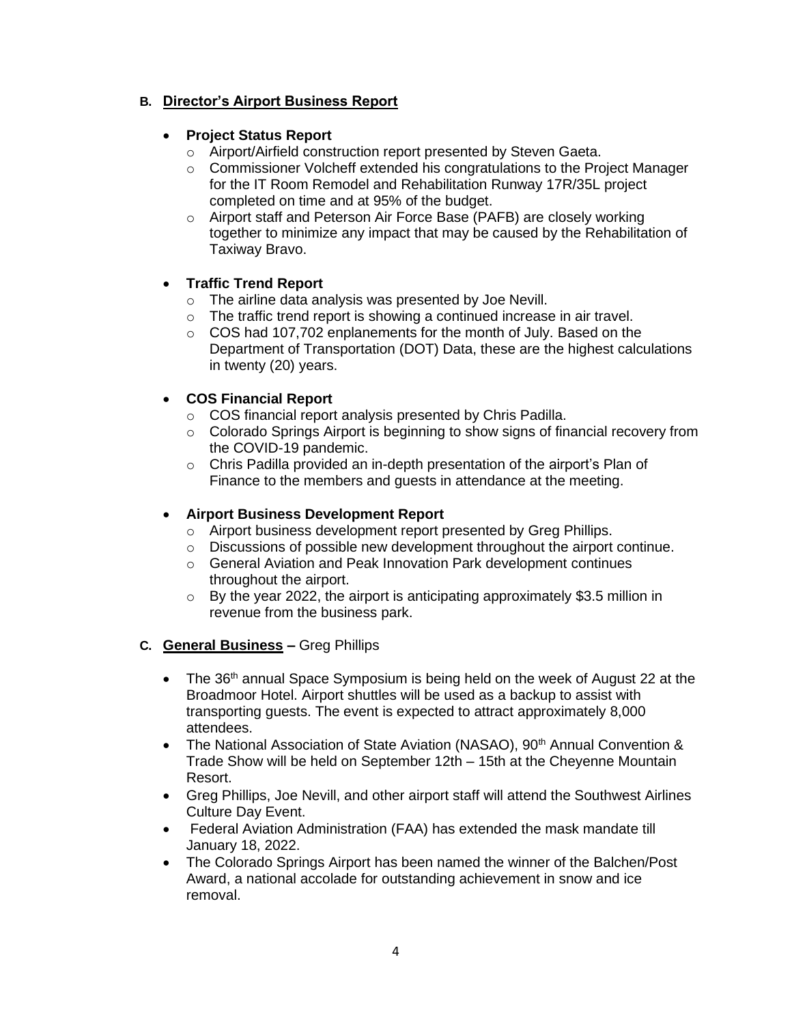# **B. Director's Airport Business Report**

#### • **Project Status Report**

- o Airport/Airfield construction report presented by Steven Gaeta.
- o Commissioner Volcheff extended his congratulations to the Project Manager for the IT Room Remodel and Rehabilitation Runway 17R/35L project completed on time and at 95% of the budget.
- o Airport staff and Peterson Air Force Base (PAFB) are closely working together to minimize any impact that may be caused by the Rehabilitation of Taxiway Bravo.

#### • **Traffic Trend Report**

- o The airline data analysis was presented by Joe Nevill.
- o The traffic trend report is showing a continued increase in air travel.
- o COS had 107,702 enplanements for the month of July. Based on the Department of Transportation (DOT) Data, these are the highest calculations in twenty (20) years.

# • **COS Financial Report**

- o COS financial report analysis presented by Chris Padilla.
- $\circ$  Colorado Springs Airport is beginning to show signs of financial recovery from the COVID-19 pandemic.
- o Chris Padilla provided an in-depth presentation of the airport's Plan of Finance to the members and guests in attendance at the meeting.

#### • **Airport Business Development Report**

- o Airport business development report presented by Greg Phillips.
- $\circ$  Discussions of possible new development throughout the airport continue.
- o General Aviation and Peak Innovation Park development continues throughout the airport.
- o By the year 2022, the airport is anticipating approximately \$3.5 million in revenue from the business park.
- **C. General Business –** Greg Phillips
	- The  $36<sup>th</sup>$  annual Space Symposium is being held on the week of August 22 at the Broadmoor Hotel. Airport shuttles will be used as a backup to assist with transporting guests. The event is expected to attract approximately 8,000 attendees.
	- The National Association of State Aviation (NASAO), 90<sup>th</sup> Annual Convention & Trade Show will be held on September 12th – 15th at the Cheyenne Mountain Resort.
	- Greg Phillips, Joe Nevill, and other airport staff will attend the Southwest Airlines Culture Day Event.
	- Federal Aviation Administration (FAA) has extended the mask mandate till January 18, 2022.
	- The Colorado Springs Airport has been named the winner of the Balchen/Post Award, a national accolade for outstanding achievement in snow and ice removal.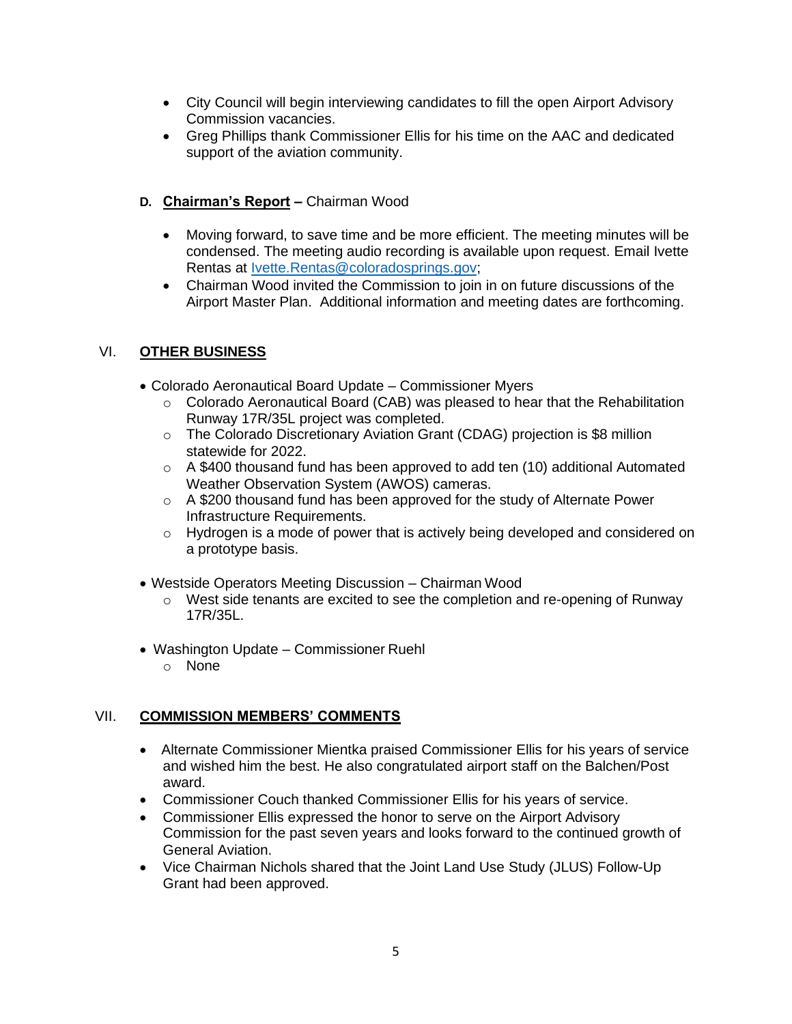- City Council will begin interviewing candidates to fill the open Airport Advisory Commission vacancies.
- Greg Phillips thank Commissioner Ellis for his time on the AAC and dedicated support of the aviation community.

# **D. Chairman's Report –** Chairman Wood

- Moving forward, to save time and be more efficient. The meeting minutes will be condensed. The meeting audio recording is available upon request. Email Ivette Rentas at [Ivette.Rentas@coloradosprings.gov;](mailto:Ivette.Rentas@coloradosprings.gov)
- Chairman Wood invited the Commission to join in on future discussions of the Airport Master Plan. Additional information and meeting dates are forthcoming.

# VI. **OTHER BUSINESS**

- Colorado Aeronautical Board Update Commissioner Myers
	- o Colorado Aeronautical Board (CAB) was pleased to hear that the Rehabilitation Runway 17R/35L project was completed.
	- o The Colorado Discretionary Aviation Grant (CDAG) projection is \$8 million statewide for 2022.
	- $\circ$  A \$400 thousand fund has been approved to add ten (10) additional Automated Weather Observation System (AWOS) cameras.
	- o A \$200 thousand fund has been approved for the study of Alternate Power Infrastructure Requirements.
	- o Hydrogen is a mode of power that is actively being developed and considered on a prototype basis.
- Westside Operators Meeting Discussion Chairman Wood
	- o West side tenants are excited to see the completion and re-opening of Runway 17R/35L.
- Washington Update Commissioner Ruehl
	- o None

# VII. **COMMISSION MEMBERS' COMMENTS**

- Alternate Commissioner Mientka praised Commissioner Ellis for his years of service and wished him the best. He also congratulated airport staff on the Balchen/Post award.
- Commissioner Couch thanked Commissioner Ellis for his years of service.
- Commissioner Ellis expressed the honor to serve on the Airport Advisory Commission for the past seven years and looks forward to the continued growth of General Aviation.
- Vice Chairman Nichols shared that the Joint Land Use Study (JLUS) Follow-Up Grant had been approved.